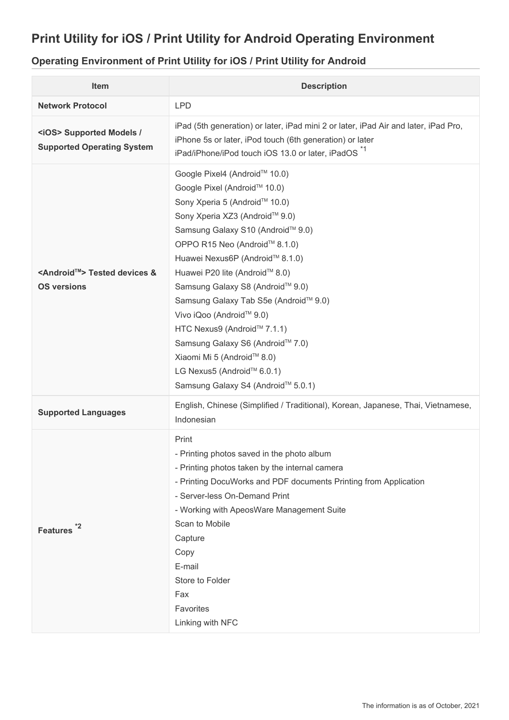## **Print Utility for iOS / Print Utility for Android Operating Environment**

## **Operating Environment of Print Utility for iOS / Print Utility for Android**

| Item                                                                 | <b>Description</b>                                                                                                                                                                                                                                                                                                                                                                                                                                                                                                                                        |
|----------------------------------------------------------------------|-----------------------------------------------------------------------------------------------------------------------------------------------------------------------------------------------------------------------------------------------------------------------------------------------------------------------------------------------------------------------------------------------------------------------------------------------------------------------------------------------------------------------------------------------------------|
| <b>Network Protocol</b>                                              | <b>LPD</b>                                                                                                                                                                                                                                                                                                                                                                                                                                                                                                                                                |
| <ios> Supported Models /<br/><b>Supported Operating System</b></ios> | iPad (5th generation) or later, iPad mini 2 or later, iPad Air and later, iPad Pro,<br>iPhone 5s or later, iPod touch (6th generation) or later<br>iPad/iPhone/iPod touch iOS 13.0 or later, iPadOS <sup>*1</sup>                                                                                                                                                                                                                                                                                                                                         |
| <android™> Tested devices &amp;<br/><b>OS versions</b></android™>    | Google Pixel4 (Android™ 10.0)<br>Google Pixel (Android™ 10.0)<br>Sony Xperia 5 (Android™ 10.0)<br>Sony Xperia XZ3 (Android™ 9.0)<br>Samsung Galaxy S10 (Android™ 9.0)<br>OPPO R15 Neo (Android™ 8.1.0)<br>Huawei Nexus6P (Android™ 8.1.0)<br>Huawei P20 lite (Android™ 8.0)<br>Samsung Galaxy S8 (Android™ 9.0)<br>Samsung Galaxy Tab S5e (Android™ 9.0)<br>Vivo iQoo (Android™ 9.0)<br>HTC Nexus9 (Android™ 7.1.1)<br>Samsung Galaxy S6 (Android™ 7.0)<br>Xiaomi Mi 5 (Android™ 8.0)<br>LG Nexus5 (Android™ 6.0.1)<br>Samsung Galaxy S4 (Android™ 5.0.1) |
| <b>Supported Languages</b>                                           | English, Chinese (Simplified / Traditional), Korean, Japanese, Thai, Vietnamese,<br>Indonesian                                                                                                                                                                                                                                                                                                                                                                                                                                                            |
| *2<br><b>Features</b>                                                | Print<br>- Printing photos saved in the photo album<br>- Printing photos taken by the internal camera<br>- Printing DocuWorks and PDF documents Printing from Application<br>- Server-less On-Demand Print<br>- Working with ApeosWare Management Suite<br>Scan to Mobile<br>Capture<br>Copy<br>E-mail<br>Store to Folder<br>Fax<br>Favorites<br>Linking with NFC                                                                                                                                                                                         |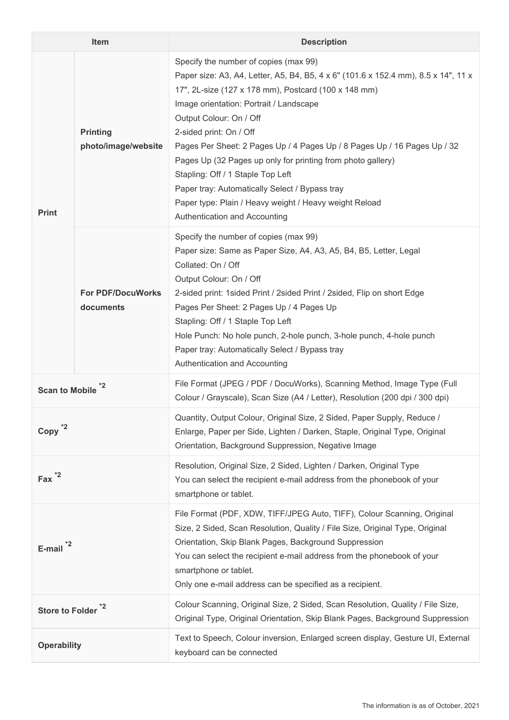| <b>Item</b>                   |                                        | <b>Description</b>                                                                                                                                                                                                                                                                                                                                                                                                                                                                                                                                                                                                |
|-------------------------------|----------------------------------------|-------------------------------------------------------------------------------------------------------------------------------------------------------------------------------------------------------------------------------------------------------------------------------------------------------------------------------------------------------------------------------------------------------------------------------------------------------------------------------------------------------------------------------------------------------------------------------------------------------------------|
| <b>Print</b>                  | <b>Printing</b><br>photo/image/website | Specify the number of copies (max 99)<br>Paper size: A3, A4, Letter, A5, B4, B5, 4 x 6" (101.6 x 152.4 mm), 8.5 x 14", 11 x<br>17", 2L-size (127 x 178 mm), Postcard (100 x 148 mm)<br>Image orientation: Portrait / Landscape<br>Output Colour: On / Off<br>2-sided print: On / Off<br>Pages Per Sheet: 2 Pages Up / 4 Pages Up / 8 Pages Up / 16 Pages Up / 32<br>Pages Up (32 Pages up only for printing from photo gallery)<br>Stapling: Off / 1 Staple Top Left<br>Paper tray: Automatically Select / Bypass tray<br>Paper type: Plain / Heavy weight / Heavy weight Reload<br>Authentication and Accounting |
|                               | <b>For PDF/DocuWorks</b><br>documents  | Specify the number of copies (max 99)<br>Paper size: Same as Paper Size, A4, A3, A5, B4, B5, Letter, Legal<br>Collated: On / Off<br>Output Colour: On / Off<br>2-sided print: 1 sided Print / 2 sided Print / 2 sided, Flip on short Edge<br>Pages Per Sheet: 2 Pages Up / 4 Pages Up<br>Stapling: Off / 1 Staple Top Left<br>Hole Punch: No hole punch, 2-hole punch, 3-hole punch, 4-hole punch<br>Paper tray: Automatically Select / Bypass tray<br>Authentication and Accounting                                                                                                                              |
| <b>Scan to Mobile</b>         |                                        | File Format (JPEG / PDF / DocuWorks), Scanning Method, Image Type (Full<br>Colour / Grayscale), Scan Size (A4 / Letter), Resolution (200 dpi / 300 dpi)                                                                                                                                                                                                                                                                                                                                                                                                                                                           |
| Copy                          |                                        | Quantity, Output Colour, Original Size, 2 Sided, Paper Supply, Reduce /<br>Enlarge, Paper per Side, Lighten / Darken, Staple, Original Type, Original<br>Orientation, Background Suppression, Negative Image                                                                                                                                                                                                                                                                                                                                                                                                      |
| $Fax^{\ast 2}$                |                                        | Resolution, Original Size, 2 Sided, Lighten / Darken, Original Type<br>You can select the recipient e-mail address from the phonebook of your<br>smartphone or tablet.                                                                                                                                                                                                                                                                                                                                                                                                                                            |
| E-mail                        |                                        | File Format (PDF, XDW, TIFF/JPEG Auto, TIFF), Colour Scanning, Original<br>Size, 2 Sided, Scan Resolution, Quality / File Size, Original Type, Original<br>Orientation, Skip Blank Pages, Background Suppression<br>You can select the recipient e-mail address from the phonebook of your<br>smartphone or tablet.<br>Only one e-mail address can be specified as a recipient.                                                                                                                                                                                                                                   |
| Store to Folder <sup>*2</sup> |                                        | Colour Scanning, Original Size, 2 Sided, Scan Resolution, Quality / File Size,<br>Original Type, Original Orientation, Skip Blank Pages, Background Suppression                                                                                                                                                                                                                                                                                                                                                                                                                                                   |
| <b>Operability</b>            |                                        | Text to Speech, Colour inversion, Enlarged screen display, Gesture UI, External<br>keyboard can be connected                                                                                                                                                                                                                                                                                                                                                                                                                                                                                                      |